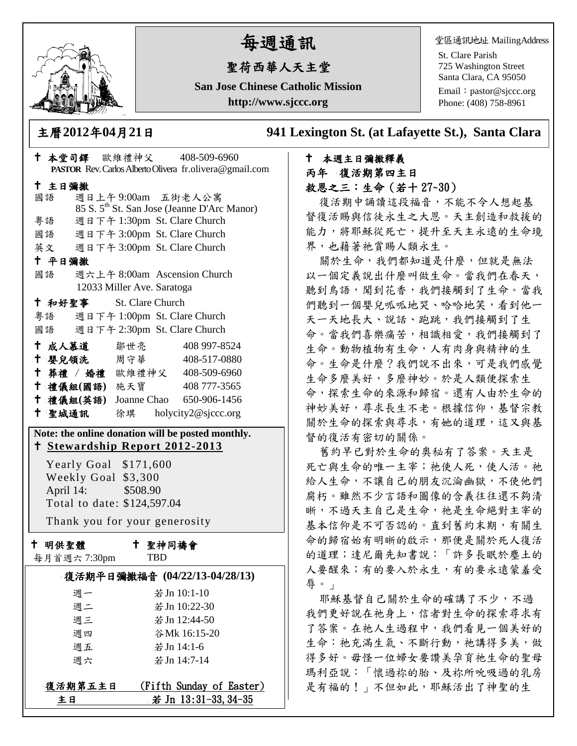

# 每週通訊

## 聖荷西華人天主堂

**San Jose Chinese Catholic Mission http://www.sjccc.org**

堂區通訊地址 MailingAddress

St. Clare Parish 725 Washington Street Santa Clara, CA 95050

Email: [pastor@sjccc.org](mailto:pastor@sjccc.org) Phone: (408) 758-8961

主曆**2012**年**04**月**21**日 **941 Lexington St. (at Lafayette St.), Santa Clara** 

#### 本週主日彌撒釋義 丙年 復活期第四主日 救恩之三:生命(若十 27~30)

復活期中誦讀這段福音,不能不令人想起基 督復活賜與信徒永生之大恩。天主創造和救援的 能力,將耶穌從死亡,提升至天主永遠的生命境 界,也藉著祂賞賜人類永生。

關於生命,我們都知道是什麼,但就是無法 以一個定義說出什麼叫做生命。當我們在春天, 聽到鳥語,聞到花香,我們接觸到了生命。當我 們聽到一個嬰兒呱呱地哭、哈哈地笑,看到他一 天一天地長大、說話、跑跳,我們接觸到了生 命。當我們喜樂痛苦,相識相愛,我們接觸到了 生命。動物植物有生命,人有肉身與精神的生 命。生命是什麼?我們說不出來,可是我們感覺 生命多麼美好,多麼神妙。於是人類便探索生 命,探索生命的來源和歸宿。還有人由於生命的 神妙美好,尋求長生不老。根據信仰,基督宗教 關於生命的探索與尋求,有她的道理,這又與基 督的復活有密切的關係。

舊約早已對於生命的奧秘有了答案。天主是 死亡與生命的唯一主宰;祂使人死,使人活。祂 給人生命,不讓自己的朋友沉淪幽獄,不使他們 腐朽。雖然不少言語和圖像的含義往往還不夠清 晰,不過天主自己是生命,祂是生命絕對主宰的 基本信仰是不可否認的。直到舊約末期,有關生 命的歸宿始有明晰的啟示,那便是關於死人復活 的道理;達尼爾先知書說:「許多長眠於塵土的 人要醒來;有的要入於永生,有的要永遠蒙羞受 辱。」

耶穌基督自己關於生命的確講了不少,不過 我們更好說在祂身上,信者對生命的探索尋求有 了答案。在祂人生過程中,我們看見一個美好的 生命:祂充滿生氣、不斷行動,祂講得多美,做 得多好。毋怪一位婦女要讚美孕育祂生命的聖母 瑪利亞說:「懷過祢的胎、及祢所吮吸過的乳房 是有福的!」不但如此,耶穌活出了神聖的生

|                                                                                                                                                                                                                                  | † 本堂司鐸 歐維禮神父 408-509-6960<br>PASTOR Rev. Carlos Alberto Olivera fr.olivera@gmail.com |
|----------------------------------------------------------------------------------------------------------------------------------------------------------------------------------------------------------------------------------|--------------------------------------------------------------------------------------|
| 十 主日彌撒                                                                                                                                                                                                                           |                                                                                      |
| 國語                                                                                                                                                                                                                               | 週日上午9:00am 五街老人公寓<br>85 S. 5 <sup>th</sup> St. San Jose (Jeanne D'Arc Manor)         |
| 粤語                                                                                                                                                                                                                               | 週日下午 1:30pm St. Clare Church                                                         |
|                                                                                                                                                                                                                                  | 國語 週日下午 3:00pm St. Clare Church                                                      |
|                                                                                                                                                                                                                                  | 英文 週日下午 3:00pm St. Clare Church                                                      |
| 十 平日彌撒                                                                                                                                                                                                                           |                                                                                      |
| 國語                                                                                                                                                                                                                               | 週六上午 8:00am Ascension Church                                                         |
|                                                                                                                                                                                                                                  | 12033 Miller Ave. Saratoga                                                           |
|                                                                                                                                                                                                                                  | <sup>†</sup> 和好聖事 St. Clare Church                                                   |
|                                                                                                                                                                                                                                  | 粤語 週日下午 1:00pm St. Clare Church                                                      |
|                                                                                                                                                                                                                                  | 國語 週日下午 2:30pm St. Clare Church                                                      |
| † 成人慕道   鄒世亮                                                                                                                                                                                                                     | 408 997-8524                                                                         |
| ↑ 嬰兒領洗 周守華                                                                                                                                                                                                                       | 408-517-0880                                                                         |
|                                                                                                                                                                                                                                  | † 葬禮 / 婚禮 歐維禮神父 408-509-6960                                                         |
|                                                                                                                                                                                                                                  | † 禮儀組(國語) 施天寶 408777-3565                                                            |
|                                                                                                                                                                                                                                  | † 禮儀組(英語) Joanne Chao 650-906-1456                                                   |
|                                                                                                                                                                                                                                  | + 聖城通訊 徐琪 holycity2@sjccc.org                                                        |
| Note: the online donation will be posted monthly.<br><u>t Stewardship Report 2012-2013</u><br>Yearly Goal \$171,600<br>Weekly Goal \$3,300<br>April 14: \$508.90<br>Total to date: \$124,597.04<br>Thank you for your generosity |                                                                                      |
|                                                                                                                                                                                                                                  |                                                                                      |
| 十 明供聖體                                                                                                                                                                                                                           | ← 聖神同禱會                                                                              |
| 每月首週六 7:30pm                                                                                                                                                                                                                     | TBD                                                                                  |
|                                                                                                                                                                                                                                  | 復活期平日彌撒福音 (04/22/13-04/28/13)                                                        |
| 週一                                                                                                                                                                                                                               | 若Jn 10:1-10                                                                          |
| 週二                                                                                                                                                                                                                               | 若Jn 10:22-30                                                                         |
| 週三                                                                                                                                                                                                                               | 若 Jn 12:44-50                                                                        |
| 週四                                                                                                                                                                                                                               | 谷Mk 16:15-20                                                                         |
| 週五                                                                                                                                                                                                                               | 若Jn 14:1-6                                                                           |
| 週六                                                                                                                                                                                                                               | 若 Jn 14:7-14                                                                         |

主日 若 Jn 13:31-33, 34-35